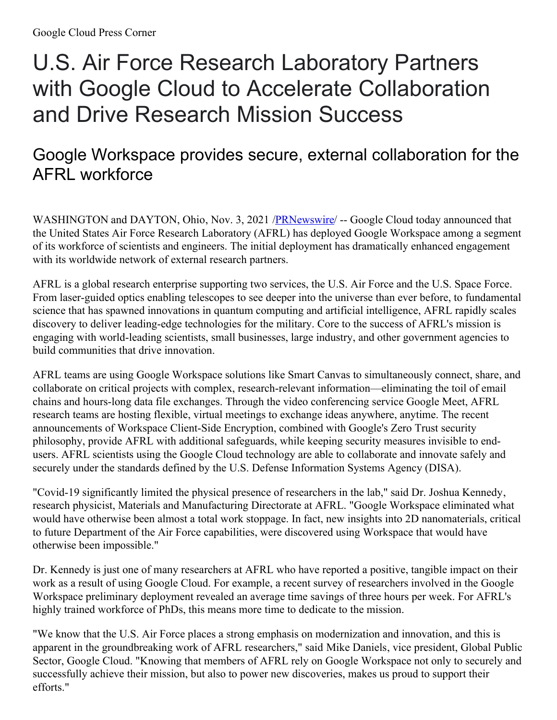# U.S. Air Force Research Laboratory Partners with Google Cloud to Accelerate Collaboration and Drive Research Mission Success

# Google Workspace provides secure, external collaboration for the AFRL workforce

WASHINGTON and DAYTON, Ohio, Nov. 3, 2021 /**PRNewswire/** -- Google Cloud today announced that the United States Air Force Research Laboratory (AFRL) has deployed Google Workspace among a segment of its workforce of scientists and engineers. The initial deployment has dramatically enhanced engagement with its worldwide network of external research partners.

AFRL is a global research enterprise supporting two services, the U.S. Air Force and the U.S. Space Force. From laser-guided optics enabling telescopes to see deeper into the universe than ever before, to fundamental science that has spawned innovations in quantum computing and artificial intelligence, AFRL rapidly scales discovery to deliver leading-edge technologies for the military. Core to the success of AFRL's mission is engaging with world-leading scientists, small businesses, large industry, and other government agencies to build communities that drive innovation.

AFRL teams are using Google Workspace solutions like Smart Canvas to simultaneously connect, share, and collaborate on critical projects with complex, research-relevant information—eliminating the toil of email chains and hours-long data file exchanges. Through the video conferencing service Google Meet, AFRL research teams are hosting flexible, virtual meetings to exchange ideas anywhere, anytime. The recent announcements of Workspace Client-Side Encryption, combined with Google's Zero Trust security philosophy, provide AFRL with additional safeguards, while keeping security measures invisible to endusers. AFRL scientists using the Google Cloud technology are able to collaborate and innovate safely and securely under the standards defined by the U.S. Defense Information Systems Agency (DISA).

"Covid-19 significantly limited the physical presence of researchers in the lab," said Dr. Joshua Kennedy, research physicist, Materials and Manufacturing Directorate at AFRL. "Google Workspace eliminated what would have otherwise been almost a total work stoppage. In fact, new insights into 2D nanomaterials, critical to future Department of the Air Force capabilities, were discovered using Workspace that would have otherwise been impossible."

Dr. Kennedy is just one of many researchers at AFRL who have reported a positive, tangible impact on their work as a result of using Google Cloud. For example, a recent survey of researchers involved in the Google Workspace preliminary deployment revealed an average time savings of three hours per week. For AFRL's highly trained workforce of PhDs, this means more time to dedicate to the mission.

"We know that the U.S. Air Force places a strong emphasis on modernization and innovation, and this is apparent in the groundbreaking work of AFRL researchers," said Mike Daniels, vice president, Global Public Sector, Google Cloud. "Knowing that members of AFRL rely on Google Workspace not only to securely and successfully achieve their mission, but also to power new discoveries, makes us proud to support their efforts."